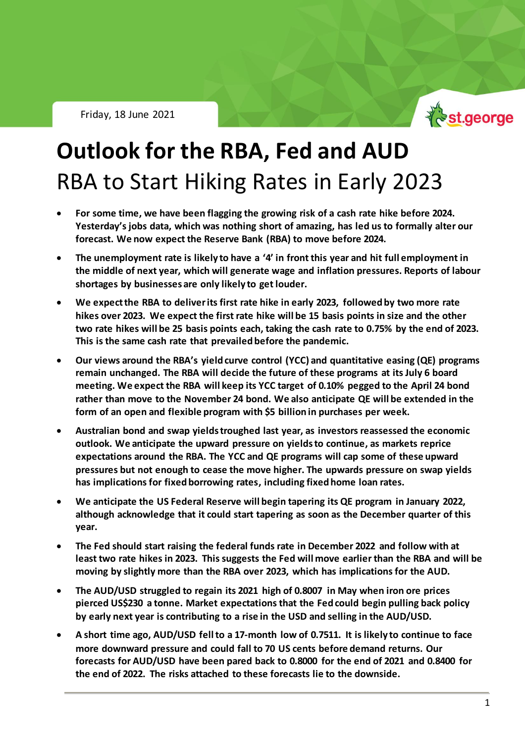

# **Outlook for the RBA, Fed and AUD** RBA to Start Hiking Rates in Early 2023

- **For some time, we have been flagging the growing risk of a cash rate hike before 2024. Yesterday's jobs data, which was nothing short of amazing, has led us to formally alter our forecast. We now expect the Reserve Bank (RBA) to move before 2024.**
- **The unemployment rate is likely to have a '4' in front this year and hit full employment in the middle of next year, which will generate wage and inflation pressures. Reports of labour shortages by businesses are only likely to get louder.**
- **We expect the RBA to deliver its first rate hike in early 2023, followed by two more rate hikes over 2023. We expect the first rate hike will be 15 basis points in size and the other two rate hikes will be 25 basis points each, taking the cash rate to 0.75% by the end of 2023. This is the same cash rate that prevailed before the pandemic.**
- **Our views around the RBA's yield curve control (YCC) and quantitative easing (QE) programs remain unchanged. The RBA will decide the future of these programs at its July 6 board meeting. We expect the RBA will keep its YCC target of 0.10% pegged to the April 24 bond rather than move to the November 24 bond. We also anticipate QE will be extended in the form of an open and flexible program with \$5 billion in purchases per week.**
- **Australian bond and swap yields troughed last year, as investors reassessed the economic outlook. We anticipate the upward pressure on yields to continue, as markets reprice expectations around the RBA. The YCC and QE programs will cap some of these upward pressures but not enough to cease the move higher. The upwards pressure on swap yields has implications for fixed borrowing rates, including fixed home loan rates.**
- **We anticipate the US Federal Reserve will begin tapering its QE program in January 2022, although acknowledge that it could start tapering as soon as the December quarter of this year.**
- **The Fed should start raising the federal funds rate in December 2022 and follow with at least two rate hikes in 2023. This suggests the Fed will move earlier than the RBA and will be moving by slightly more than the RBA over 2023, which has implications for the AUD.**
- **The AUD/USD struggled to regain its 2021 high of 0.8007 in May when iron ore prices pierced US\$230 a tonne. Market expectations that the Fed could begin pulling back policy by early next year is contributing to a rise in the USD and selling in the AUD/USD.**
- **A short time ago, AUD/USD fell to a 17-month low of 0.7511. It is likely to continue to face more downward pressure and could fall to 70 US cents before demand returns. Our forecasts for AUD/USD have been pared back to 0.8000 for the end of 2021 and 0.8400 for the end of 2022. The risks attached to these forecasts lie to the downside.**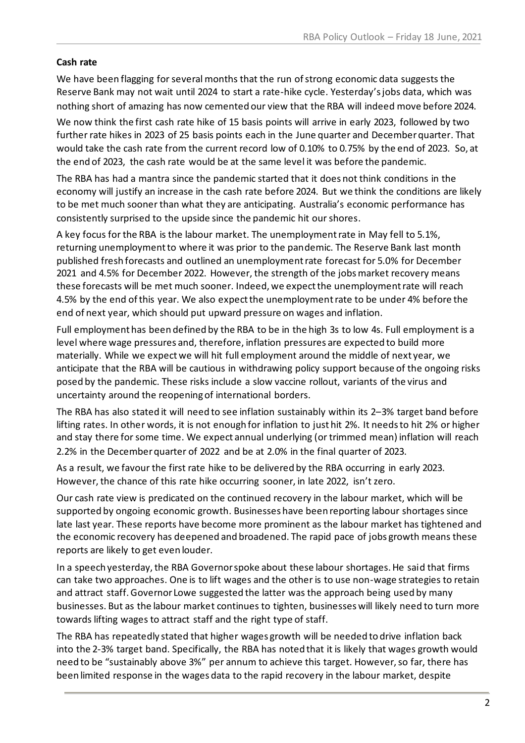#### **Cash rate**

We have been flagging for several months that the run of strong economic data suggests the Reserve Bank may not wait until 2024 to start a rate-hike cycle. Yesterday's jobs data, which was nothing short of amazing has now cemented our view that the RBA will indeed move before 2024.

We now think the first cash rate hike of 15 basis points will arrive in early 2023, followed by two further rate hikes in 2023 of 25 basis points each in the June quarter and December quarter. That would take the cash rate from the current record low of 0.10% to 0.75% by the end of 2023. So, at the end of 2023, the cash rate would be at the same level it was before the pandemic.

The RBA has had a mantra since the pandemic started that it does not think conditions in the economy will justify an increase in the cash rate before 2024. But we think the conditions are likely to be met much sooner than what they are anticipating. Australia's economic performance has consistently surprised to the upside since the pandemic hit our shores.

A key focus for the RBA is the labour market. The unemployment rate in May fell to 5.1%, returning unemployment to where it was prior to the pandemic. The Reserve Bank last month published fresh forecasts and outlined an unemployment rate forecast for 5.0% for December 2021 and 4.5% for December 2022. However, the strength of the jobs market recovery means these forecasts will be met much sooner. Indeed, we expectthe unemployment rate will reach 4.5% by the end of this year. We also expect the unemployment rate to be under 4% before the end of next year, which should put upward pressure on wages and inflation.

Full employment has been defined by the RBA to be in the high 3s to low 4s. Full employment is a level where wage pressures and, therefore, inflation pressures are expected to build more materially. While we expect we will hit full employment around the middle of next year, we anticipate that the RBA will be cautious in withdrawing policy support because of the ongoing risks posed by the pandemic. These risks include a slow vaccine rollout, variants of the virus and uncertainty around the reopening of international borders.

The RBA has also stated it will need to see inflation sustainably within its 2–3% target band before lifting rates. In other words, it is not enough for inflation to just hit 2%. It needs to hit 2% or higher and stay there for some time. We expect annual underlying (or trimmed mean) inflation will reach 2.2% in the December quarter of 2022 and be at 2.0% in the final quarter of 2023.

As a result, we favour the first rate hike to be delivered by the RBA occurring in early 2023. However, the chance of this rate hike occurring sooner, in late 2022, isn't zero.

Our cash rate view is predicated on the continued recovery in the labour market, which will be supported by ongoing economic growth. Businesses have been reporting labour shortages since late last year. These reports have become more prominent as the labour market has tightened and the economic recovery has deepened and broadened. The rapid pace of jobs growth means these reports are likely to get even louder.

In a speech yesterday, the RBA Governor spoke about these labour shortages. He said that firms can take two approaches. One is to lift wages and the other is to use non-wage strategies to retain and attract staff. Governor Lowe suggested the latter was the approach being used by many businesses. But as the labour market continues to tighten, businesses will likely need to turn more towards lifting wages to attract staff and the right type of staff.

The RBA has repeatedly stated that higher wages growth will be needed to drive inflation back into the 2-3% target band. Specifically, the RBA has noted that it is likely that wages growth would need to be "sustainably above 3%" per annum to achieve this target. However, so far, there has been limited response in the wages data to the rapid recovery in the labour market, despite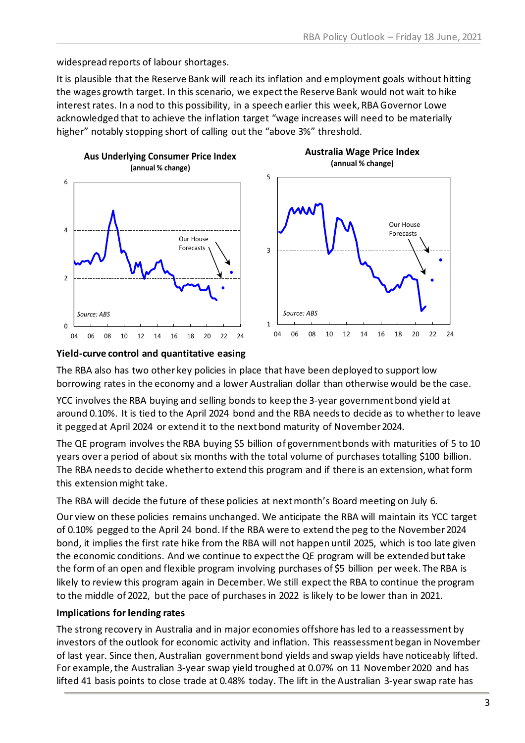widespread reports of labour shortages.

It is plausible that the Reserve Bank will reach its inflation and employment goals without hitting the wages growth target. In this scenario, we expect the Reserve Bank would not wait to hike interest rates. In a nod to this possibility, in a speech earlier this week, RBA Governor Lowe acknowledged that to achieve the inflation target "wage increases will need to be materially higher" notably stopping short of calling out the "above 3%" threshold.



#### **Yield-curve control and quantitative easing**

The RBA also has two other key policies in place that have been deployed to support low borrowing rates in the economy and a lower Australian dollar than otherwise would be the case.

YCC involves the RBA buying and selling bonds to keep the 3-year government bond yield at around 0.10%. It is tied to the April 2024 bond and the RBA needs to decide as to whether to leave it pegged at April 2024 or extend it to the next bond maturity of November 2024.

The QE program involves the RBA buying \$5 billion of government bonds with maturities of 5 to 10 years over a period of about six months with the total volume of purchases totalling \$100 billion. The RBA needs to decide whether to extend this program and if there is an extension, what form this extension might take.

The RBA will decide the future of these policies at next month's Board meeting on July 6.

Our view on these policies remains unchanged. We anticipate the RBA will maintain its YCC target of 0.10% pegged to the April 24 bond. If the RBA were to extend the peg to the November 2024 bond, it implies the first rate hike from the RBA will not happen until 2025, which is too late given the economic conditions. And we continue to expect the QE program will be extended but take the form of an open and flexible program involving purchases of \$5 billion per week. The RBA is likely to review this program again in December. We still expectthe RBA to continue the program to the middle of 2022, but the pace of purchases in 2022 is likely to be lower than in 2021.

#### **Implications for lending rates**

The strong recovery in Australia and in major economies offshore has led to a reassessment by investors of the outlook for economic activity and inflation. This reassessment began in November of last year. Since then, Australian government bond yields and swap yields have noticeably lifted. For example, the Australian 3-year swap yield troughed at 0.07% on 11 November 2020 and has lifted 41 basis points to close trade at 0.48% today. The lift in the Australian 3-year swap rate has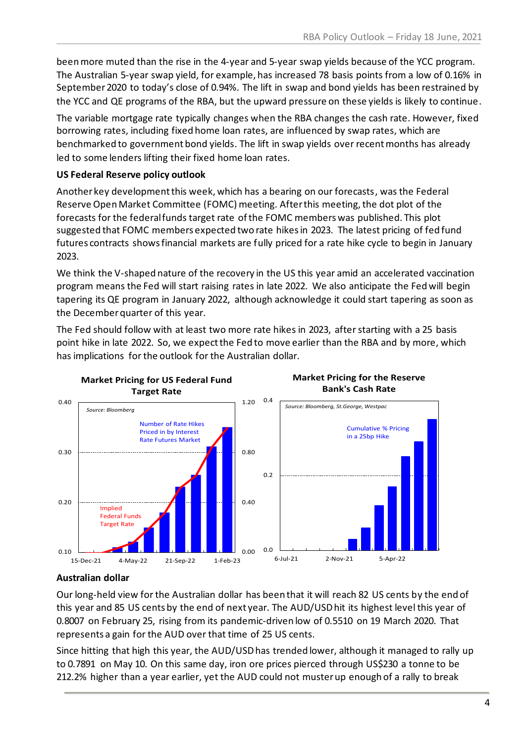been more muted than the rise in the 4-year and 5-year swap yields because of the YCC program. The Australian 5-year swap yield, for example, has increased 78 basis points from a low of 0.16% in September 2020 to today's close of 0.94%. The lift in swap and bond yields has been restrained by the YCC and QE programs of the RBA, but the upward pressure on these yields is likely to continue.

The variable mortgage rate typically changes when the RBA changes the cash rate. However, fixed borrowing rates, including fixed home loan rates, are influenced by swap rates, which are benchmarked to government bond yields. The lift in swap yields over recent months has already led to some lenders lifting their fixed home loan rates.

### **US Federal Reserve policy outlook**

Another key development this week, which has a bearing on our forecasts, was the Federal Reserve Open Market Committee (FOMC) meeting. After this meeting, the dot plot of the forecasts for the federal funds target rate of the FOMC members was published. This plot suggested that FOMC members expected two rate hikes in 2023. The latest pricing of fed fund futures contracts shows financial markets are fully priced for a rate hike cycle to begin in January 2023.

We think the V-shaped nature of the recovery in the US this year amid an accelerated vaccination program means the Fed will start raising rates in late 2022. We also anticipate the Fed will begin tapering its QE program in January 2022, although acknowledge it could start tapering as soon as the December quarter of this year.

The Fed should follow with at least two more rate hikes in 2023, after starting with a 25 basis point hike in late 2022. So, we expect the Fed to move earlier than the RBA and by more, which has implications for the outlook for the Australian dollar.



## **Australian dollar**

Our long-held view for the Australian dollar has been that it will reach 82 US cents by the end of this year and 85 US cents by the end of next year. The AUD/USD hit its highest level this year of 0.8007 on February 25, rising from its pandemic-driven low of 0.5510 on 19 March 2020. That represents a gain for the AUD over that time of 25 US cents.

Since hitting that high this year, the AUD/USD has trended lower, although it managed to rally up to 0.7891 on May 10. On this same day, iron ore prices pierced through US\$230 a tonne to be 212.2% higher than a year earlier, yet the AUD could not muster up enough of a rally to break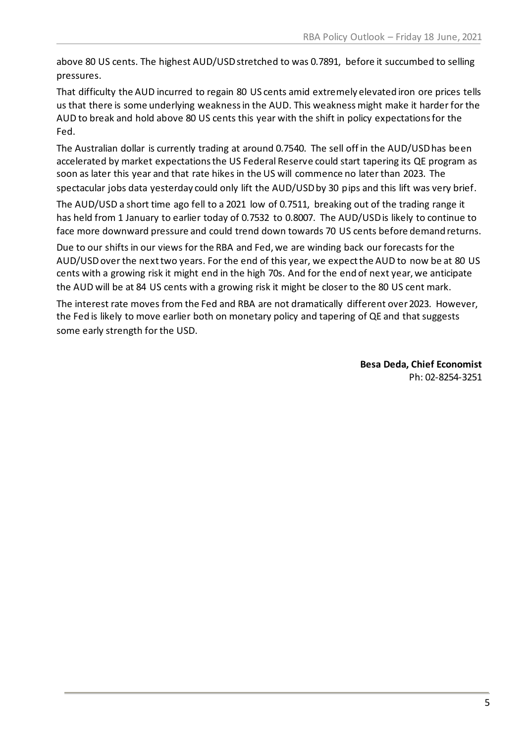above 80 US cents. The highest AUD/USDstretched to was 0.7891, before it succumbed to selling pressures.

That difficulty the AUD incurred to regain 80 US cents amid extremely elevated iron ore prices tells us that there is some underlying weakness in the AUD. This weakness might make it harder for the AUD to break and hold above 80 US cents this year with the shift in policy expectations for the Fed.

The Australian dollar is currently trading at around 0.7540. The sell off in the AUD/USD has been accelerated by market expectations the US Federal Reserve could start tapering its QE program as soon as later this year and that rate hikes in the US will commence no later than 2023. The spectacular jobs data yesterday could only lift the AUD/USD by 30 pips and this lift was very brief.

The AUD/USD a short time ago fell to a 2021 low of 0.7511, breaking out of the trading range it has held from 1 January to earlier today of 0.7532 to 0.8007. The AUD/USD is likely to continue to face more downward pressure and could trend down towards 70 US cents before demand returns.

Due to our shifts in our views for the RBA and Fed, we are winding back our forecasts for the AUD/USD over the next two years. For the end of this year, we expect the AUD to now be at 80 US cents with a growing risk it might end in the high 70s. And for the end of next year, we anticipate the AUD will be at 84 US cents with a growing risk it might be closer to the 80 US cent mark.

The interest rate moves from the Fed and RBA are not dramatically different over2023. However, the Fed is likely to move earlier both on monetary policy and tapering of QE and that suggests some early strength for the USD.

> **Besa Deda, Chief Economist** Ph: 02-8254-3251